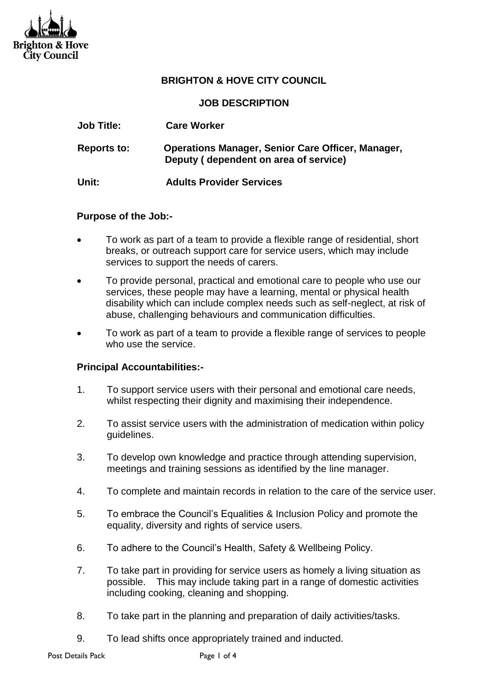

## **BRIGHTON & HOVE CITY COUNCIL**

**JOB DESCRIPTION**

| <b>Job Title:</b>  | <b>Care Worker</b>                                                                                |
|--------------------|---------------------------------------------------------------------------------------------------|
| <b>Reports to:</b> | <b>Operations Manager, Senior Care Officer, Manager,</b><br>Deputy (dependent on area of service) |
| Unit:              | <b>Adults Provider Services</b>                                                                   |

#### **Purpose of the Job:-**

- To work as part of a team to provide a flexible range of residential, short breaks, or outreach support care for service users, which may include services to support the needs of carers.
- To provide personal, practical and emotional care to people who use our services, these people may have a learning, mental or physical health disability which can include complex needs such as self-neglect, at risk of abuse, challenging behaviours and communication difficulties.
- To work as part of a team to provide a flexible range of services to people who use the service.

### **Principal Accountabilities:-**

- 1. To support service users with their personal and emotional care needs, whilst respecting their dignity and maximising their independence.
- 2. To assist service users with the administration of medication within policy guidelines.
- 3. To develop own knowledge and practice through attending supervision, meetings and training sessions as identified by the line manager.
- 4. To complete and maintain records in relation to the care of the service user.
- 5. To embrace the Council's Equalities & Inclusion Policy and promote the equality, diversity and rights of service users.
- 6. To adhere to the Council's Health, Safety & Wellbeing Policy.
- 7. To take part in providing for service users as homely a living situation as possible. This may include taking part in a range of domestic activities including cooking, cleaning and shopping.
- 8. To take part in the planning and preparation of daily activities/tasks.
- 9. To lead shifts once appropriately trained and inducted.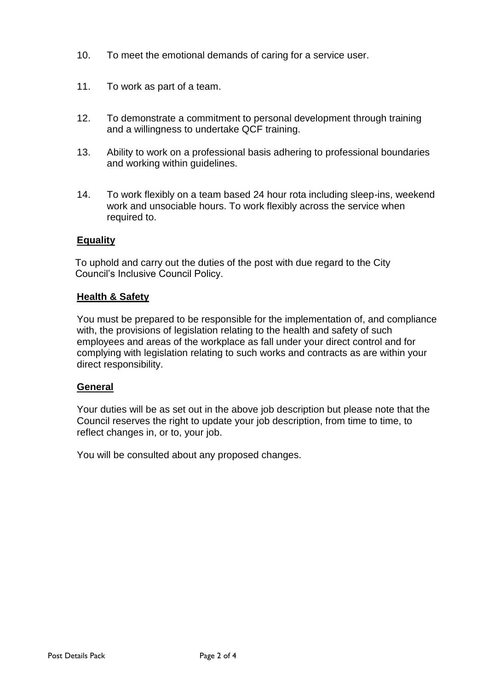- 10. To meet the emotional demands of caring for a service user.
- 11. To work as part of a team.
- 12. To demonstrate a commitment to personal development through training and a willingness to undertake QCF training.
- 13. Ability to work on a professional basis adhering to professional boundaries and working within guidelines.
- 14. To work flexibly on a team based 24 hour rota including sleep-ins, weekend work and unsociable hours. To work flexibly across the service when required to.

## **Equality**

 To uphold and carry out the duties of the post with due regard to the City Council's Inclusive Council Policy.

### **Health & Safety**

You must be prepared to be responsible for the implementation of, and compliance with, the provisions of legislation relating to the health and safety of such employees and areas of the workplace as fall under your direct control and for complying with legislation relating to such works and contracts as are within your direct responsibility.

### **General**

Your duties will be as set out in the above job description but please note that the Council reserves the right to update your job description, from time to time, to reflect changes in, or to, your job.

You will be consulted about any proposed changes.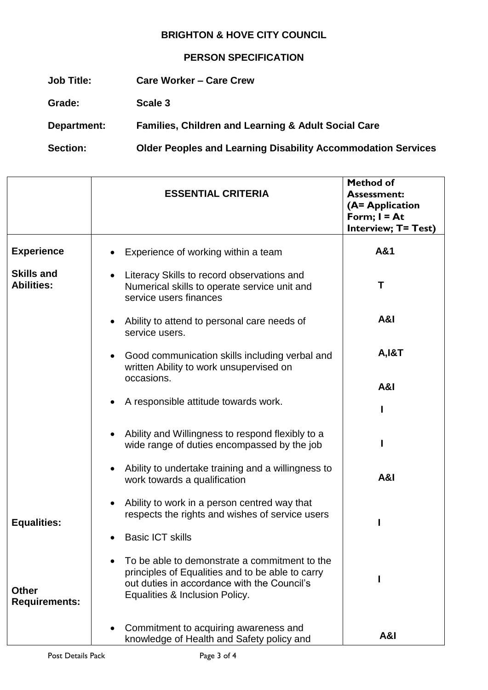# **BRIGHTON & HOVE CITY COUNCIL**

# **PERSON SPECIFICATION**

| Job Title:         | <b>Care Worker - Care Crew</b>                                      |
|--------------------|---------------------------------------------------------------------|
| Grade:             | Scale 3                                                             |
| <b>Department:</b> | <b>Families, Children and Learning &amp; Adult Social Care</b>      |
| <b>Section:</b>    | <b>Older Peoples and Learning Disability Accommodation Services</b> |

|                                        | <b>ESSENTIAL CRITERIA</b>                                                                                                                                                          | <b>Method of</b><br><b>Assessment:</b><br>(A= Application<br>Form; $I = At$<br><b>Interview; T= Test)</b> |
|----------------------------------------|------------------------------------------------------------------------------------------------------------------------------------------------------------------------------------|-----------------------------------------------------------------------------------------------------------|
| <b>Experience</b>                      | Experience of working within a team                                                                                                                                                | A&1                                                                                                       |
| <b>Skills and</b><br><b>Abilities:</b> | Literacy Skills to record observations and<br>Numerical skills to operate service unit and<br>service users finances                                                               | Т                                                                                                         |
|                                        | Ability to attend to personal care needs of<br>service users.                                                                                                                      | A&I                                                                                                       |
|                                        | Good communication skills including verbal and<br>written Ability to work unsupervised on                                                                                          | <b>A, I&amp;T</b>                                                                                         |
|                                        | occasions.                                                                                                                                                                         | A&I                                                                                                       |
|                                        | A responsible attitude towards work.                                                                                                                                               |                                                                                                           |
|                                        | Ability and Willingness to respond flexibly to a<br>wide range of duties encompassed by the job                                                                                    |                                                                                                           |
|                                        | Ability to undertake training and a willingness to<br>work towards a qualification                                                                                                 | <b>A&amp;I</b>                                                                                            |
| <b>Equalities:</b>                     | Ability to work in a person centred way that<br>respects the rights and wishes of service users                                                                                    |                                                                                                           |
|                                        | <b>Basic ICT skills</b>                                                                                                                                                            |                                                                                                           |
| <b>Other</b><br><b>Requirements:</b>   | To be able to demonstrate a commitment to the<br>principles of Equalities and to be able to carry<br>out duties in accordance with the Council's<br>Equalities & Inclusion Policy. |                                                                                                           |
|                                        | Commitment to acquiring awareness and<br>knowledge of Health and Safety policy and                                                                                                 | A&I                                                                                                       |